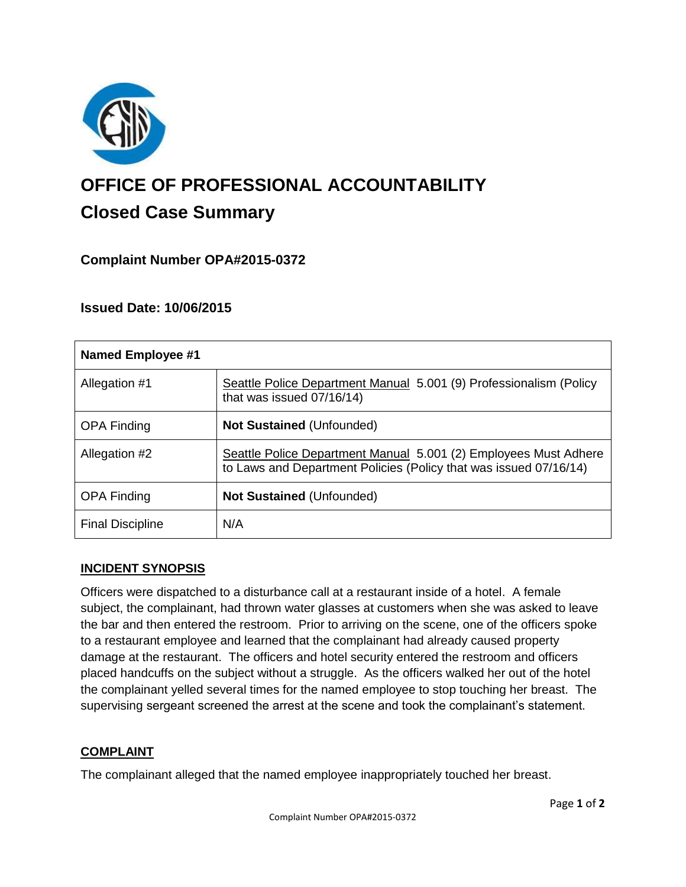

# **OFFICE OF PROFESSIONAL ACCOUNTABILITY Closed Case Summary**

# **Complaint Number OPA#2015-0372**

## **Issued Date: 10/06/2015**

| <b>Named Employee #1</b> |                                                                                                                                       |
|--------------------------|---------------------------------------------------------------------------------------------------------------------------------------|
| Allegation #1            | Seattle Police Department Manual 5.001 (9) Professionalism (Policy<br>that was issued 07/16/14)                                       |
| <b>OPA Finding</b>       | <b>Not Sustained (Unfounded)</b>                                                                                                      |
| Allegation #2            | Seattle Police Department Manual 5.001 (2) Employees Must Adhere<br>to Laws and Department Policies (Policy that was issued 07/16/14) |
| <b>OPA Finding</b>       | <b>Not Sustained (Unfounded)</b>                                                                                                      |
| <b>Final Discipline</b>  | N/A                                                                                                                                   |

#### **INCIDENT SYNOPSIS**

Officers were dispatched to a disturbance call at a restaurant inside of a hotel. A female subject, the complainant, had thrown water glasses at customers when she was asked to leave the bar and then entered the restroom. Prior to arriving on the scene, one of the officers spoke to a restaurant employee and learned that the complainant had already caused property damage at the restaurant. The officers and hotel security entered the restroom and officers placed handcuffs on the subject without a struggle. As the officers walked her out of the hotel the complainant yelled several times for the named employee to stop touching her breast. The supervising sergeant screened the arrest at the scene and took the complainant's statement.

#### **COMPLAINT**

The complainant alleged that the named employee inappropriately touched her breast.